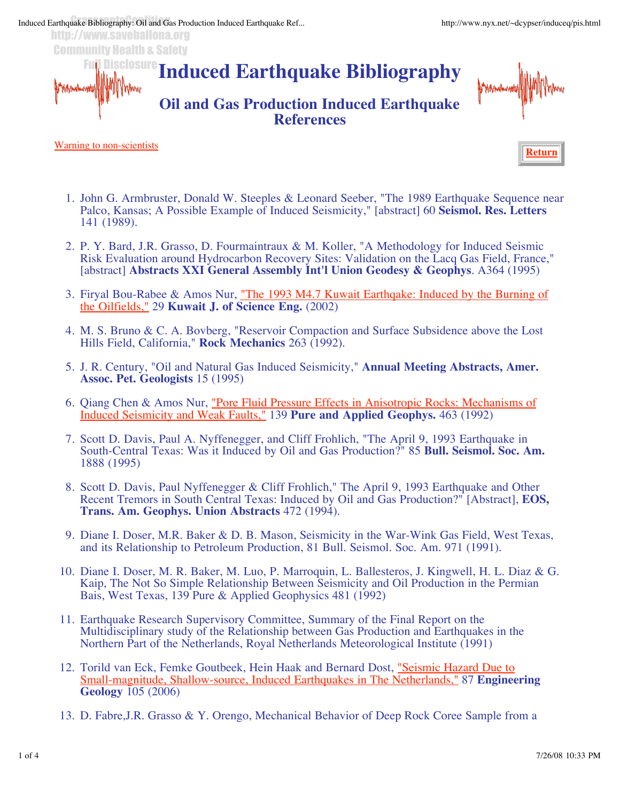http://www.saveballona.org Community Health & Safety

> **Induced Earthquake Bibliography** Disclosure

## **Oil and Gas Production Induced Earthquake References**



Warning to non-scientists



- 1. John G. Armbruster, Donald W. Steeples & Leonard Seeber, "The 1989 Earthquake Sequence near Palco, Kansas; A Possible Example of Induced Seismicity," [abstract] 60 **Seismol. Res. Letters**  141 (1989).
- P. Y. Bard, J.R. Grasso, D. Fourmaintraux & M. Koller, "A Methodology for Induced Seismic 2. Risk Evaluation around Hydrocarbon Recovery Sites: Validation on the Lacq Gas Field, France," [abstract] **Abstracts XXI General Assembly Int'l Union Geodesy & Geophys**. A364 (1995)
- 3. Firyal Bou-Rabee & Amos Nur, "The 1993 M4.7 Kuwait Earthqake: Induced by the Burning of the Oilfields," 29 **Kuwait J. of Science Eng.** (2002)
- M. S. Bruno & C. A. Bovberg, "Reservoir Compaction and Surface Subsidence above the Lost 4. Hills Field, California," **Rock Mechanics** 263 (1992).
- 5. J. R. Century, "Oil and Natural Gas Induced Seismicity," Annual Meeting Abstracts, Amer. **Assoc. Pet. Geologists** 15 (1995)
- 6. Qiang Chen & Amos Nur, "Pore Fluid Pressure Effects in Anisotropic Rocks: Mechanisms of Induced Seismicity and Weak Faults," 139 **Pure and Applied Geophys.** 463 (1992)
- 7. Scott D. Davis, Paul A. Nyffenegger, and Cliff Frohlich, "The April 9, 1993 Earthquake in South-Central Texas: Was it Induced by Oil and Gas Production?" 85 **Bull. Seismol. Soc. Am.** 1888 (1995)
- 8. Scott D. Davis, Paul Nyffenegger & Cliff Frohlich," The April 9, 1993 Earthquake and Other Recent Tremors in South Central Texas: Induced by Oil and Gas Production?" [Abstract], **EOS, Trans. Am. Geophys. Union Abstracts** 472 (1994).
- 9. Diane I. Doser, M.R. Baker & D. B. Mason, Seismicity in the War-Wink Gas Field, West Texas, and its Relationship to Petroleum Production, 81 Bull. Seismol. Soc. Am. 971 (1991).
- 10. Diane I. Doser, M. R. Baker, M. Luo, P. Marroquin, L. Ballesteros, J. Kingwell, H. L. Diaz & G. Kaip, The Not So Simple Relationship Between Seismicity and Oil Production in the Permian Bais, West Texas, 139 Pure & Applied Geophysics 481 (1992)
- 11. Earthquake Research Supervisory Committee, Summary of the Final Report on the Multidisciplinary study of the Relationship between Gas Production and Earthquakes in the Northern Part of the Netherlands, Royal Netherlands Meteorological Institute (1991)
- 12. Torild van Eck, Femke Goutbeek, Hein Haak and Bernard Dost, "Seismic Hazard Due to Small-magnitude, Shallow-source, Induced Earthquakes in The Netherlands," 87 **Engineering Geology** 105 (2006)
- 13. D. Fabre,J.R. Grasso & Y. Orengo, Mechanical Behavior of Deep Rock Coree Sample from a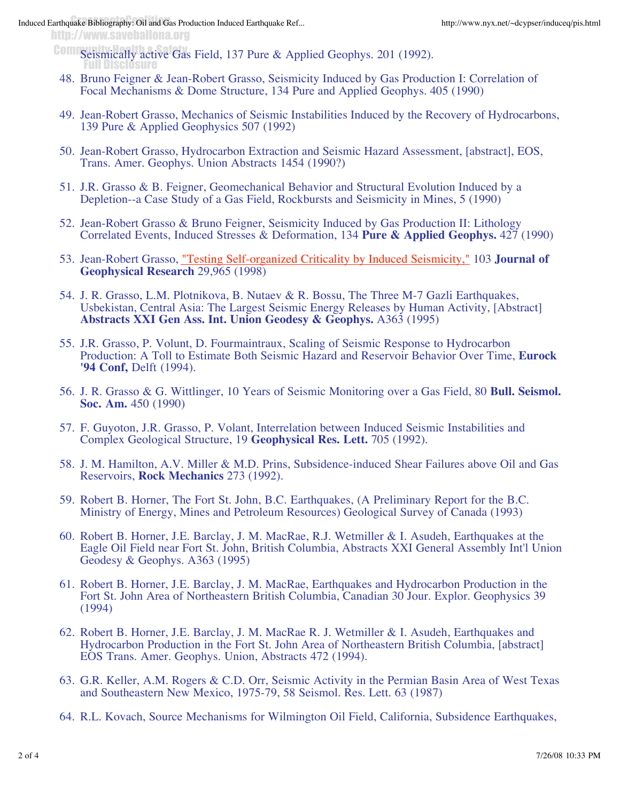## Induced Earthquake Bibliography: Oil and Gas Production Induced Earthquake Ref... http://www.nyx.net/~dcypser/induceq/pis.html

http://www.saveballona.org

Seismically active Gas Field, 137 Pure & Applied Geophys. 201 (1992). Full Disclosure

- 48. Bruno Feigner & Jean-Robert Grasso, Seismicity Induced by Gas Production I: Correlation of Focal Mechanisms & Dome Structure, 134 Pure and Applied Geophys. 405 (1990)
- 49. Jean-Robert Grasso, Mechanics of Seismic Instabilities Induced by the Recovery of Hydrocarbons, 139 Pure & Applied Geophysics 507 (1992)
- 50. Jean-Robert Grasso, Hydrocarbon Extraction and Seismic Hazard Assessment, [abstract], EOS, Trans. Amer. Geophys. Union Abstracts 1454 (1990?)
- 51. J.R. Grasso & B. Feigner, Geomechanical Behavior and Structural Evolution Induced by a Depletion--a Case Study of a Gas Field, Rockbursts and Seismicity in Mines, 5 (1990)
- 52. Jean-Robert Grasso & Bruno Feigner, Seismicity Induced by Gas Production II: Lithology Correlated Events, Induced Stresses & Deformation, 134 **Pure & Applied Geophys.** 427 (1990)
- 53. Jean-Robert Grasso, "Testing Self-organized Criticality by Induced Seismicity," 103 Journal of **Geophysical Research** 29,965 (1998)
- 54. J. R. Grasso, L.M. Plotnikova, B. Nutaev & R. Bossu, The Three M-7 Gazli Earthquakes, Usbekistan, Central Asia: The Largest Seismic Energy Releases by Human Activity, [Abstract] **Abstracts XXI Gen Ass. Int. Union Geodesy & Geophys.** A363 (1995)
- 55. J.R. Grasso, P. Volunt, D. Fourmaintraux, Scaling of Seismic Response to Hydrocarbon Production: A Toll to Estimate Both Seismic Hazard and Reservoir Behavior Over Time, **Eurock '94 Conf,** Delft (1994).
- J. R. Grasso & G. Wittlinger, 10 Years of Seismic Monitoring over a Gas Field, 80 **Bull. Seismol.**  56. **Soc. Am.** 450 (1990)
- 57. F. Guyoton, J.R. Grasso, P. Volant, Interrelation between Induced Seismic Instabilities and Complex Geological Structure, 19 **Geophysical Res. Lett.** 705 (1992).
- 58. J. M. Hamilton, A.V. Miller & M.D. Prins, Subsidence-induced Shear Failures above Oil and Gas Reservoirs, **Rock Mechanics** 273 (1992).
- 59. Robert B. Horner, The Fort St. John, B.C. Earthquakes, (A Preliminary Report for the B.C. Ministry of Energy, Mines and Petroleum Resources) Geological Survey of Canada (1993)
- 60. Robert B. Horner, J.E. Barclay, J. M. MacRae, R.J. Wetmiller & I. Asudeh, Earthquakes at the Eagle Oil Field near Fort St. John, British Columbia, Abstracts XXI General Assembly Int'l Union Geodesy & Geophys. A363 (1995)
- 61. Robert B. Horner, J.E. Barclay, J. M. MacRae, Earthquakes and Hydrocarbon Production in the Fort St. John Area of Northeastern British Columbia, Canadian 30 Jour. Explor. Geophysics 39 (1994)
- 62. Robert B. Horner, J.E. Barclay, J. M. MacRae R. J. Wetmiller & I. Asudeh, Earthquakes and Hydrocarbon Production in the Fort St. John Area of Northeastern British Columbia, [abstract] EOS Trans. Amer. Geophys. Union, Abstracts 472 (1994).
- 63. G.R. Keller, A.M. Rogers & C.D. Orr, Seismic Activity in the Permian Basin Area of West Texas and Southeastern New Mexico, 1975-79, 58 Seismol. Res. Lett. 63 (1987)
- 64. R.L. Kovach, Source Mechanisms for Wilmington Oil Field, California, Subsidence Earthquakes,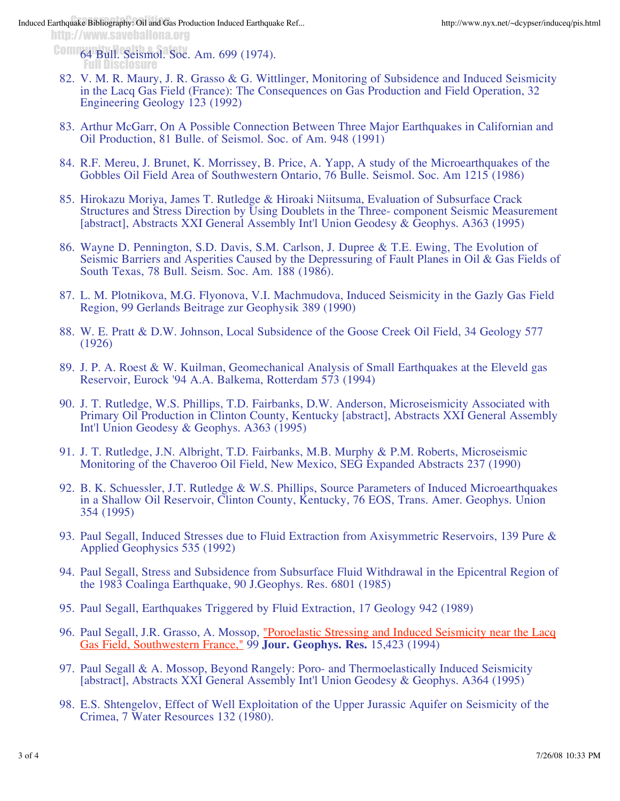http://www.saveballona.org

**64 Bull. Seismol. Soc. Am. 699 (1974).** Full Disclosure

- 82. V. M. R. Maury, J. R. Grasso & G. Wittlinger, Monitoring of Subsidence and Induced Seismicity in the Lacq Gas Field (France): The Consequences on Gas Production and Field Operation, 32 Engineering Geology 123 (1992)
- 83. Arthur McGarr, On A Possible Connection Between Three Major Earthquakes in Californian and Oil Production, 81 Bulle. of Seismol. Soc. of Am. 948 (1991)
- R.F. Mereu, J. Brunet, K. Morrissey, B. Price, A. Yapp, A study of the Microearthquakes of the 84. Gobbles Oil Field Area of Southwestern Ontario, 76 Bulle. Seismol. Soc. Am 1215 (1986)
- 85. Hirokazu Moriya, James T. Rutledge & Hiroaki Niitsuma, Evaluation of Subsurface Crack Structures and Stress Direction by Using Doublets in the Three- component Seismic Measurement [abstract], Abstracts XXI General Assembly Int'l Union Geodesy & Geophys. A363 (1995)
- 86. Wayne D. Pennington, S.D. Davis, S.M. Carlson, J. Dupree & T.E. Ewing, The Evolution of Seismic Barriers and Asperities Caused by the Depressuring of Fault Planes in Oil & Gas Fields of South Texas, 78 Bull. Seism. Soc. Am. 188 (1986).
- 87. L. M. Plotnikova, M.G. Flyonova, V.I. Machmudova, Induced Seismicity in the Gazly Gas Field Region, 99 Gerlands Beitrage zur Geophysik 389 (1990)
- W. E. Pratt & D.W. Johnson, Local Subsidence of the Goose Creek Oil Field, 34 Geology 577 88. (1926)
- J. P. A. Roest & W. Kuilman, Geomechanical Analysis of Small Earthquakes at the Eleveld gas 89. Reservoir, Eurock '94 A.A. Balkema, Rotterdam 573 (1994)
- 90. J. T. Rutledge, W.S. Phillips, T.D. Fairbanks, D.W. Anderson, Microseismicity Associated with Primary Oil Production in Clinton County, Kentucky [abstract], Abstracts XXI General Assembly Int'l Union Geodesy & Geophys. A363 (1995)
- 91. J. T. Rutledge, J.N. Albright, T.D. Fairbanks, M.B. Murphy & P.M. Roberts, Microseismic Monitoring of the Chaveroo Oil Field, New Mexico, SEG Expanded Abstracts 237 (1990)
- 92. B. K. Schuessler, J.T. Rutledge & W.S. Phillips, Source Parameters of Induced Microearthquakes in a Shallow Oil Reservoir, Clinton County, Kentucky, 76 EOS, Trans. Amer. Geophys. Union 354 (1995)
- 93. Paul Segall, Induced Stresses due to Fluid Extraction from Axisymmetric Reservoirs, 139 Pure & Applied Geophysics 535 (1992)
- 94. Paul Segall, Stress and Subsidence from Subsurface Fluid Withdrawal in the Epicentral Region of the 1983 Coalinga Earthquake, 90 J.Geophys. Res. 6801 (1985)
- 95. Paul Segall, Earthquakes Triggered by Fluid Extraction, 17 Geology 942 (1989)
- 96. Paul Segall, J.R. Grasso, A. Mossop, "Poroelastic Stressing and Induced Seismicity near the Lacq Gas Field, Southwestern France," 99 **Jour. Geophys. Res.** 15,423 (1994)
- 97. Paul Segall & A. Mossop, Beyond Rangely: Poro- and Thermoelastically Induced Seismicity [abstract], Abstracts XXI General Assembly Int'l Union Geodesy & Geophys. A364 (1995)
- E.S. Shtengelov, Effect of Well Exploitation of the Upper Jurassic Aquifer on Seismicity of the 98. Crimea, 7 Water Resources 132 (1980).